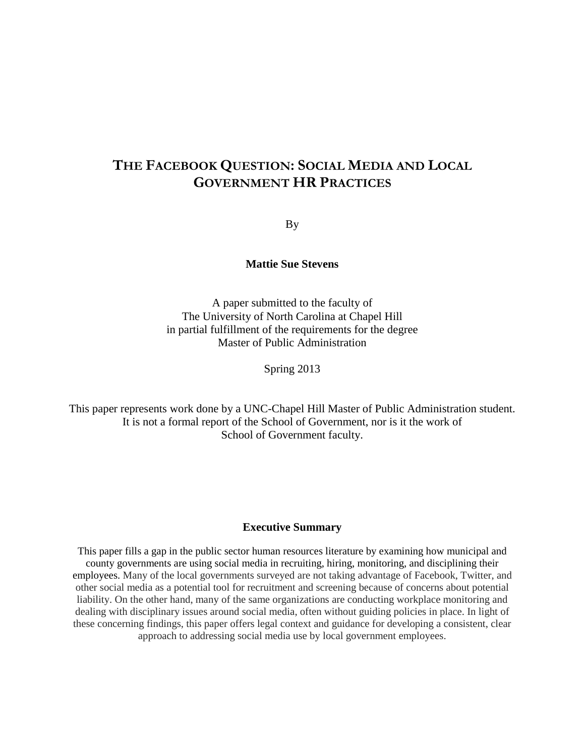# **THE FACEBOOK QUESTION: SOCIAL MEDIA AND LOCAL GOVERNMENT HR PRACTICES**

By

## **Mattie Sue Stevens**

A paper submitted to the faculty of The University of North Carolina at Chapel Hill in partial fulfillment of the requirements for the degree Master of Public Administration

Spring 2013

This paper represents work done by a UNC-Chapel Hill Master of Public Administration student. It is not a formal report of the School of Government, nor is it the work of School of Government faculty.

### **Executive Summary**

This paper fills a gap in the public sector human resources literature by examining how municipal and county governments are using social media in recruiting, hiring, monitoring, and disciplining their employees. Many of the local governments surveyed are not taking advantage of Facebook, Twitter, and other social media as a potential tool for recruitment and screening because of concerns about potential liability. On the other hand, many of the same organizations are conducting workplace monitoring and dealing with disciplinary issues around social media, often without guiding policies in place. In light of these concerning findings, this paper offers legal context and guidance for developing a consistent, clear approach to addressing social media use by local government employees.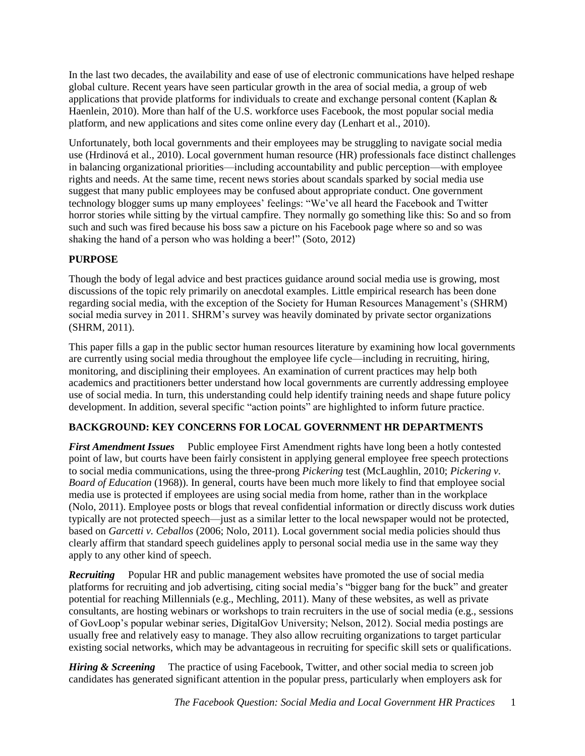In the last two decades, the availability and ease of use of electronic communications have helped reshape global culture. Recent years have seen particular growth in the area of social media, a group of web applications that provide platforms for individuals to create and exchange personal content (Kaplan & Haenlein, 2010). More than half of the U.S. workforce uses Facebook, the most popular social media platform, and new applications and sites come online every day (Lenhart et al., 2010).

Unfortunately, both local governments and their employees may be struggling to navigate social media use (Hrdinová et al., 2010). Local government human resource (HR) professionals face distinct challenges in balancing organizational priorities—including accountability and public perception—with employee rights and needs. At the same time, recent news stories about scandals sparked by social media use suggest that many public employees may be confused about appropriate conduct. One government technology blogger sums up many employees' feelings: "We've all heard the Facebook and Twitter horror stories while sitting by the virtual campfire. They normally go something like this: So and so from such and such was fired because his boss saw a picture on his Facebook page where so and so was shaking the hand of a person who was holding a beer!" (Soto, 2012)

## **PURPOSE**

Though the body of legal advice and best practices guidance around social media use is growing, most discussions of the topic rely primarily on anecdotal examples. Little empirical research has been done regarding social media, with the exception of the Society for Human Resources Management's (SHRM) social media survey in 2011. SHRM's survey was heavily dominated by private sector organizations (SHRM, 2011).

This paper fills a gap in the public sector human resources literature by examining how local governments are currently using social media throughout the employee life cycle—including in recruiting, hiring, monitoring, and disciplining their employees. An examination of current practices may help both academics and practitioners better understand how local governments are currently addressing employee use of social media. In turn, this understanding could help identify training needs and shape future policy development. In addition, several specific "action points" are highlighted to inform future practice.

## **BACKGROUND: KEY CONCERNS FOR LOCAL GOVERNMENT HR DEPARTMENTS**

*First Amendment Issues* Public employee First Amendment rights have long been a hotly contested point of law, but courts have been fairly consistent in applying general employee free speech protections to social media communications, using the three-prong *Pickering* test (McLaughlin, 2010; *Pickering v. Board of Education* (1968)). In general, courts have been much more likely to find that employee social media use is protected if employees are using social media from home, rather than in the workplace (Nolo, 2011). Employee posts or blogs that reveal confidential information or directly discuss work duties typically are not protected speech—just as a similar letter to the local newspaper would not be protected, based on *Garcetti v. Ceballos* (2006; Nolo, 2011). Local government social media policies should thus clearly affirm that standard speech guidelines apply to personal social media use in the same way they apply to any other kind of speech.

**Recruiting** Popular HR and public management websites have promoted the use of social media platforms for recruiting and job advertising, citing social media's "bigger bang for the buck" and greater potential for reaching Millennials (e.g., Mechling, 2011). Many of these websites, as well as private consultants, are hosting webinars or workshops to train recruiters in the use of social media (e.g., sessions of GovLoop's popular webinar series, DigitalGov University; Nelson, 2012). Social media postings are usually free and relatively easy to manage. They also allow recruiting organizations to target particular existing social networks, which may be advantageous in recruiting for specific skill sets or qualifications.

*Hiring & Screening* The practice of using Facebook, Twitter, and other social media to screen job candidates has generated significant attention in the popular press, particularly when employers ask for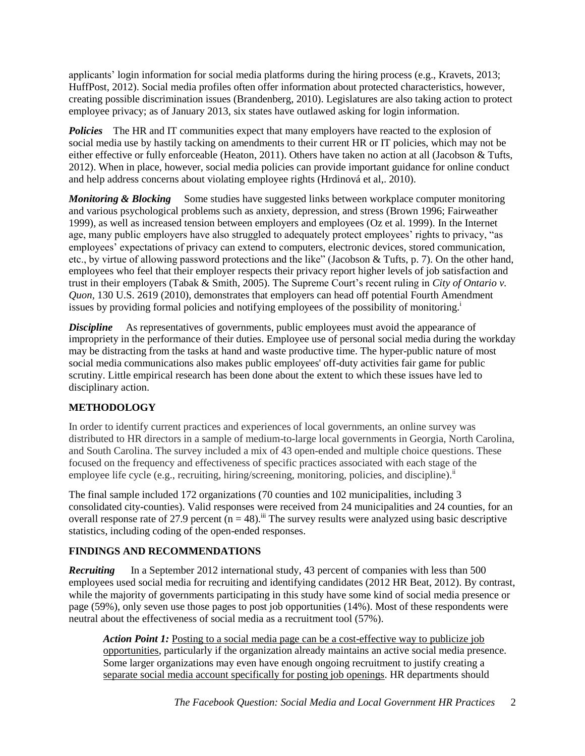applicants' login information for social media platforms during the hiring process (e.g., Kravets, 2013; HuffPost, 2012). Social media profiles often offer information about protected characteristics, however, creating possible discrimination issues (Brandenberg, 2010). Legislatures are also taking action to protect employee privacy; as of January 2013, six states have outlawed asking for login information.

**Policies** The HR and IT communities expect that many employers have reacted to the explosion of social media use by hastily tacking on amendments to their current HR or IT policies, which may not be either effective or fully enforceable (Heaton, 2011). Others have taken no action at all (Jacobson & Tufts, 2012). When in place, however, social media policies can provide important guidance for online conduct and help address concerns about violating employee rights (Hrdinová et al,. 2010).

*Monitoring & Blocking* Some studies have suggested links between workplace computer monitoring and various psychological problems such as anxiety, depression, and stress (Brown 1996; Fairweather 1999), as well as increased tension between employers and employees (Oz et al. 1999). In the Internet age, many public employers have also struggled to adequately protect employees' rights to privacy, "as employees' expectations of privacy can extend to computers, electronic devices, stored communication, etc., by virtue of allowing password protections and the like" (Jacobson & Tufts, p. 7). On the other hand, employees who feel that their employer respects their privacy report higher levels of job satisfaction and trust in their employers (Tabak & Smith, 2005). The Supreme Court's recent ruling in *City of Ontario v. Quon,* 130 U.S. 2619 (2010), demonstrates that employers can head off potential Fourth Amendment issues by providing formal policies and notifying employees of the possibility of monitoring.<sup>1</sup>

*Discipline* As representatives of governments, public employees must avoid the appearance of impropriety in the performance of their duties. Employee use of personal social media during the workday may be distracting from the tasks at hand and waste productive time. The hyper-public nature of most social media communications also makes public employees' off-duty activities fair game for public scrutiny. Little empirical research has been done about the extent to which these issues have led to disciplinary action.

## **METHODOLOGY**

In order to identify current practices and experiences of local governments, an online survey was distributed to HR directors in a sample of medium-to-large local governments in Georgia, North Carolina, and South Carolina. The survey included a mix of 43 open-ended and multiple choice questions. These focused on the frequency and effectiveness of specific practices associated with each stage of the employee life cycle (e.g., recruiting, hiring/screening, monitoring, policies, and discipline).<sup>ii</sup>

The final sample included 172 organizations (70 counties and 102 municipalities, including 3 consolidated city-counties). Valid responses were received from 24 municipalities and 24 counties, for an overall response rate of 27.9 percent  $(n = 48)$ .<sup>iii</sup> The survey results were analyzed using basic descriptive statistics, including coding of the open-ended responses.

## **FINDINGS AND RECOMMENDATIONS**

*Recruiting*In a September 2012 international study, 43 percent of companies with less than 500 employees used social media for recruiting and identifying candidates (2012 HR Beat, 2012). By contrast, while the majority of governments participating in this study have some kind of social media presence or page (59%), only seven use those pages to post job opportunities (14%). Most of these respondents were neutral about the effectiveness of social media as a recruitment tool (57%).

*Action Point 1:* Posting to a social media page can be a cost-effective way to publicize job opportunities, particularly if the organization already maintains an active social media presence. Some larger organizations may even have enough ongoing recruitment to justify creating a separate social media account specifically for posting job openings. HR departments should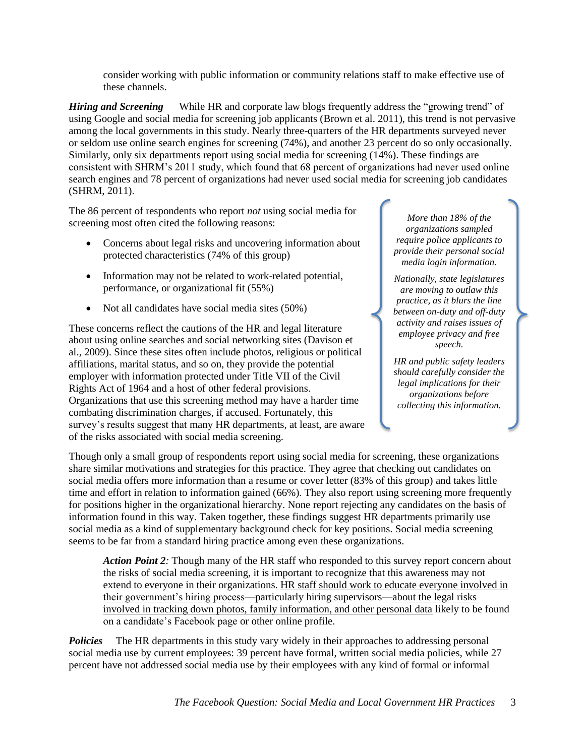consider working with public information or community relations staff to make effective use of these channels.

*Hiring and Screening* While HR and corporate law blogs frequently address the "growing trend" of using Google and social media for screening job applicants (Brown et al. 2011), this trend is not pervasive among the local governments in this study. Nearly three-quarters of the HR departments surveyed never or seldom use online search engines for screening (74%), and another 23 percent do so only occasionally. Similarly, only six departments report using social media for screening (14%). These findings are consistent with SHRM's 2011 study, which found that 68 percent of organizations had never used online search engines and 78 percent of organizations had never used social media for screening job candidates (SHRM, 2011).

The 86 percent of respondents who report *not* using social media for screening most often cited the following reasons:

- Concerns about legal risks and uncovering information about protected characteristics (74% of this group)
- Information may not be related to work-related potential, performance, or organizational fit (55%)
- Not all candidates have social media sites (50%)

These concerns reflect the cautions of the HR and legal literature about using online searches and social networking sites (Davison et al., 2009). Since these sites often include photos, religious or political affiliations, marital status, and so on, they provide the potential employer with information protected under Title VII of the Civil Rights Act of 1964 and a host of other federal provisions. Organizations that use this screening method may have a harder time combating discrimination charges, if accused. Fortunately, this survey's results suggest that many HR departments, at least, are aware of the risks associated with social media screening.

*More than 18% of the organizations sampled require police applicants to provide their personal social media login information.*

*Nationally, state legislatures are moving to outlaw this practice, as it blurs the line between on-duty and off-duty activity and raises issues of employee privacy and free speech.* 

*HR and public safety leaders should carefully consider the legal implications for their organizations before collecting this information.*

Though only a small group of respondents report using social media for screening, these organizations share similar motivations and strategies for this practice. They agree that checking out candidates on social media offers more information than a resume or cover letter (83% of this group) and takes little time and effort in relation to information gained (66%). They also report using screening more frequently for positions higher in the organizational hierarchy. None report rejecting any candidates on the basis of information found in this way. Taken together, these findings suggest HR departments primarily use social media as a kind of supplementary background check for key positions. Social media screening seems to be far from a standard hiring practice among even these organizations.

*Action Point 2:* Though many of the HR staff who responded to this survey report concern about the risks of social media screening, it is important to recognize that this awareness may not extend to everyone in their organizations. HR staff should work to educate everyone involved in their government's hiring process—particularly hiring supervisors—about the legal risks involved in tracking down photos, family information, and other personal data likely to be found on a candidate's Facebook page or other online profile.

**Policies** The HR departments in this study vary widely in their approaches to addressing personal social media use by current employees: 39 percent have formal, written social media policies, while 27 percent have not addressed social media use by their employees with any kind of formal or informal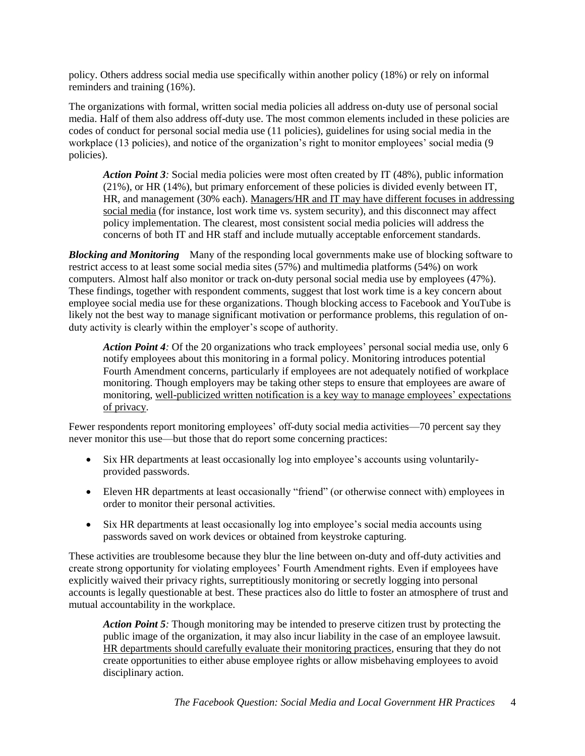policy. Others address social media use specifically within another policy (18%) or rely on informal reminders and training (16%).

The organizations with formal, written social media policies all address on-duty use of personal social media. Half of them also address off-duty use. The most common elements included in these policies are codes of conduct for personal social media use (11 policies), guidelines for using social media in the workplace (13 policies), and notice of the organization's right to monitor employees' social media (9 policies).

*Action Point 3:* Social media policies were most often created by IT (48%), public information (21%), or HR (14%), but primary enforcement of these policies is divided evenly between IT, HR, and management (30% each). Managers/HR and IT may have different focuses in addressing social media (for instance, lost work time vs. system security), and this disconnect may affect policy implementation. The clearest, most consistent social media policies will address the concerns of both IT and HR staff and include mutually acceptable enforcement standards.

*Blocking and Monitoring*Many of the responding local governments make use of blocking software to restrict access to at least some social media sites (57%) and multimedia platforms (54%) on work computers. Almost half also monitor or track on-duty personal social media use by employees (47%). These findings, together with respondent comments, suggest that lost work time is a key concern about employee social media use for these organizations. Though blocking access to Facebook and YouTube is likely not the best way to manage significant motivation or performance problems, this regulation of onduty activity is clearly within the employer's scope of authority.

*Action Point 4:* Of the 20 organizations who track employees' personal social media use, only 6 notify employees about this monitoring in a formal policy. Monitoring introduces potential Fourth Amendment concerns, particularly if employees are not adequately notified of workplace monitoring. Though employers may be taking other steps to ensure that employees are aware of monitoring, well-publicized written notification is a key way to manage employees' expectations of privacy.

Fewer respondents report monitoring employees' off-duty social media activities—70 percent say they never monitor this use—but those that do report some concerning practices:

- Six HR departments at least occasionally log into employee's accounts using voluntarilyprovided passwords.
- Eleven HR departments at least occasionally "friend" (or otherwise connect with) employees in order to monitor their personal activities.
- Six HR departments at least occasionally log into employee's social media accounts using passwords saved on work devices or obtained from keystroke capturing.

These activities are troublesome because they blur the line between on-duty and off-duty activities and create strong opportunity for violating employees' Fourth Amendment rights. Even if employees have explicitly waived their privacy rights, surreptitiously monitoring or secretly logging into personal accounts is legally questionable at best. These practices also do little to foster an atmosphere of trust and mutual accountability in the workplace.

*Action Point 5:* Though monitoring may be intended to preserve citizen trust by protecting the public image of the organization, it may also incur liability in the case of an employee lawsuit. HR departments should carefully evaluate their monitoring practices, ensuring that they do not create opportunities to either abuse employee rights or allow misbehaving employees to avoid disciplinary action.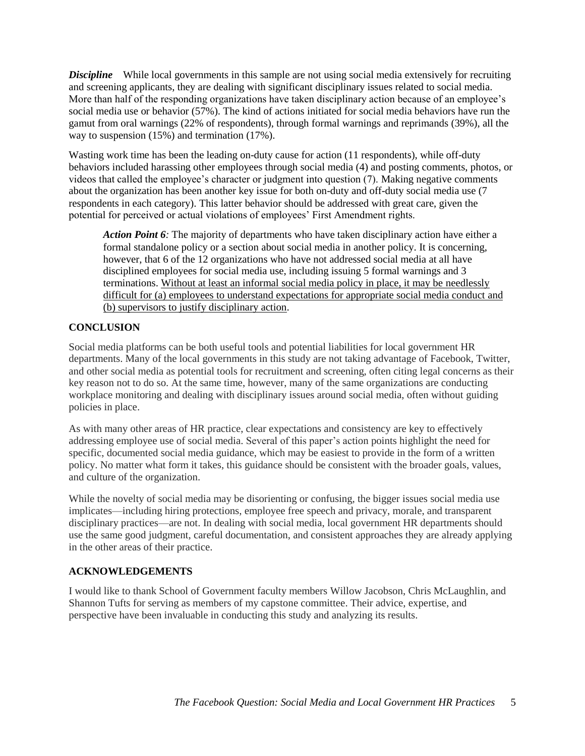*Discipline* While local governments in this sample are not using social media extensively for recruiting and screening applicants, they are dealing with significant disciplinary issues related to social media. More than half of the responding organizations have taken disciplinary action because of an employee's social media use or behavior (57%). The kind of actions initiated for social media behaviors have run the gamut from oral warnings (22% of respondents), through formal warnings and reprimands (39%), all the way to suspension (15%) and termination (17%).

Wasting work time has been the leading on-duty cause for action (11 respondents), while off-duty behaviors included harassing other employees through social media (4) and posting comments, photos, or videos that called the employee's character or judgment into question (7). Making negative comments about the organization has been another key issue for both on-duty and off-duty social media use (7 respondents in each category). This latter behavior should be addressed with great care, given the potential for perceived or actual violations of employees' First Amendment rights.

*Action Point 6:* The majority of departments who have taken disciplinary action have either a formal standalone policy or a section about social media in another policy. It is concerning, however, that 6 of the 12 organizations who have not addressed social media at all have disciplined employees for social media use, including issuing 5 formal warnings and 3 terminations. Without at least an informal social media policy in place, it may be needlessly difficult for (a) employees to understand expectations for appropriate social media conduct and (b) supervisors to justify disciplinary action.

## **CONCLUSION**

Social media platforms can be both useful tools and potential liabilities for local government HR departments. Many of the local governments in this study are not taking advantage of Facebook, Twitter, and other social media as potential tools for recruitment and screening, often citing legal concerns as their key reason not to do so. At the same time, however, many of the same organizations are conducting workplace monitoring and dealing with disciplinary issues around social media, often without guiding policies in place.

As with many other areas of HR practice, clear expectations and consistency are key to effectively addressing employee use of social media. Several of this paper's action points highlight the need for specific, documented social media guidance, which may be easiest to provide in the form of a written policy. No matter what form it takes, this guidance should be consistent with the broader goals, values, and culture of the organization.

While the novelty of social media may be disorienting or confusing, the bigger issues social media use implicates—including hiring protections, employee free speech and privacy, morale, and transparent disciplinary practices—are not. In dealing with social media, local government HR departments should use the same good judgment, careful documentation, and consistent approaches they are already applying in the other areas of their practice.

## **ACKNOWLEDGEMENTS**

I would like to thank School of Government faculty members Willow Jacobson, Chris McLaughlin, and Shannon Tufts for serving as members of my capstone committee. Their advice, expertise, and perspective have been invaluable in conducting this study and analyzing its results.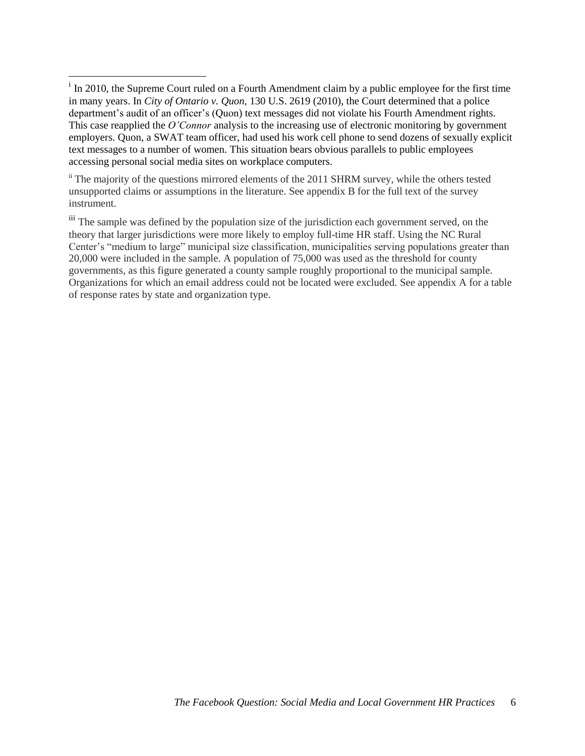ii The majority of the questions mirrored elements of the 2011 SHRM survey, while the others tested unsupported claims or assumptions in the literature. See appendix B for the full text of the survey instrument.

iii The sample was defined by the population size of the jurisdiction each government served, on the theory that larger jurisdictions were more likely to employ full-time HR staff. Using the NC Rural Center's "medium to large" municipal size classification, municipalities serving populations greater than 20,000 were included in the sample. A population of 75,000 was used as the threshold for county governments, as this figure generated a county sample roughly proportional to the municipal sample. Organizations for which an email address could not be located were excluded. See appendix A for a table of response rates by state and organization type.

If In 2010, the Supreme Court ruled on a Fourth Amendment claim by a public employee for the first time in many years. In *City of Ontario v. Quon,* 130 U.S. 2619 (2010), the Court determined that a police department's audit of an officer's (Quon) text messages did not violate his Fourth Amendment rights. This case reapplied the *O'Connor* analysis to the increasing use of electronic monitoring by government employers. Quon, a SWAT team officer, had used his work cell phone to send dozens of sexually explicit text messages to a number of women. This situation bears obvious parallels to public employees accessing personal social media sites on workplace computers.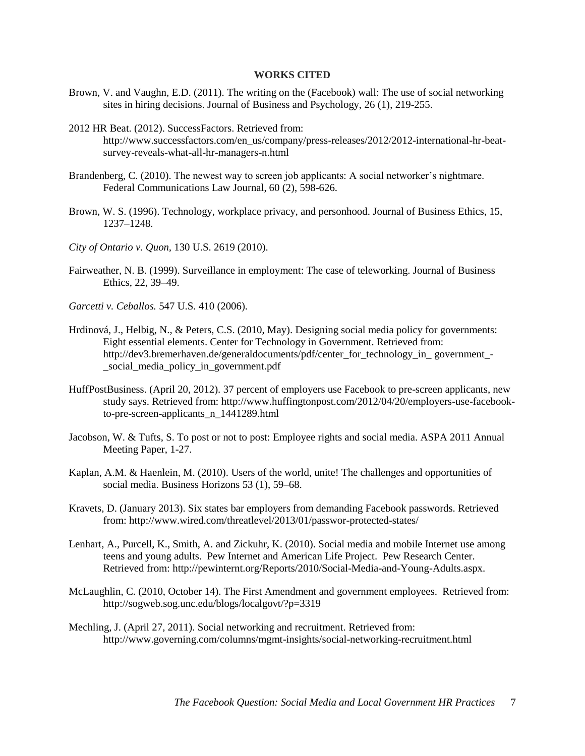### **WORKS CITED**

- Brown, V. and Vaughn, E.D. (2011). The writing on the (Facebook) wall: The use of social networking sites in hiring decisions. Journal of Business and Psychology, 26 (1), 219-255.
- 2012 HR Beat. (2012). SuccessFactors. Retrieved from: http://www.successfactors.com/en\_us/company/press-releases/2012/2012-international-hr-beatsurvey-reveals-what-all-hr-managers-n.html
- Brandenberg, C. (2010). The newest way to screen job applicants: A social networker's nightmare. Federal Communications Law Journal, 60 (2), 598-626.
- Brown, W. S. (1996). Technology, workplace privacy, and personhood. Journal of Business Ethics, 15, 1237–1248.
- *City of Ontario v. Quon,* 130 U.S. 2619 (2010).
- Fairweather, N. B. (1999). Surveillance in employment: The case of teleworking. Journal of Business Ethics, 22, 39–49.
- *Garcetti v. Ceballos.* 547 U.S. 410 (2006).
- Hrdinová, J., Helbig, N., & Peters, C.S. (2010, May). Designing social media policy for governments: Eight essential elements. Center for Technology in Government. Retrieved from: http://dev3.bremerhaven.de/generaldocuments/pdf/center for technology in government -\_social\_media\_policy\_in\_government.pdf
- HuffPostBusiness. (April 20, 2012). 37 percent of employers use Facebook to pre-screen applicants, new study says. Retrieved from: http://www.huffingtonpost.com/2012/04/20/employers-use-facebookto-pre-screen-applicants\_n\_1441289.html
- Jacobson, W. & Tufts, S. To post or not to post: Employee rights and social media. ASPA 2011 Annual Meeting Paper, 1-27.
- Kaplan, A.M. & Haenlein, M. (2010). Users of the world, unite! The challenges and opportunities of social media. Business Horizons 53 (1), 59–68.
- Kravets, D. (January 2013). Six states bar employers from demanding Facebook passwords. Retrieved from: http://www.wired.com/threatlevel/2013/01/passwor-protected-states/
- Lenhart, A., Purcell, K., Smith, A. and Zickuhr, K. (2010). Social media and mobile Internet use among teens and young adults. Pew Internet and American Life Project. Pew Research Center. Retrieved from: [http://pewinternt.org/Reports/2010/Social-Media-and-Young-Adults.aspx.](http://pewinternt.org/Reports/2010/Social-Media-and-Young-Adults.aspx)
- McLaughlin, C. (2010, October 14). The First Amendment and government employees. Retrieved from: <http://sogweb.sog.unc.edu/blogs/localgovt/?p=3319>
- Mechling, J. (April 27, 2011). Social networking and recruitment. Retrieved from: http://www.governing.com/columns/mgmt-insights/social-networking-recruitment.html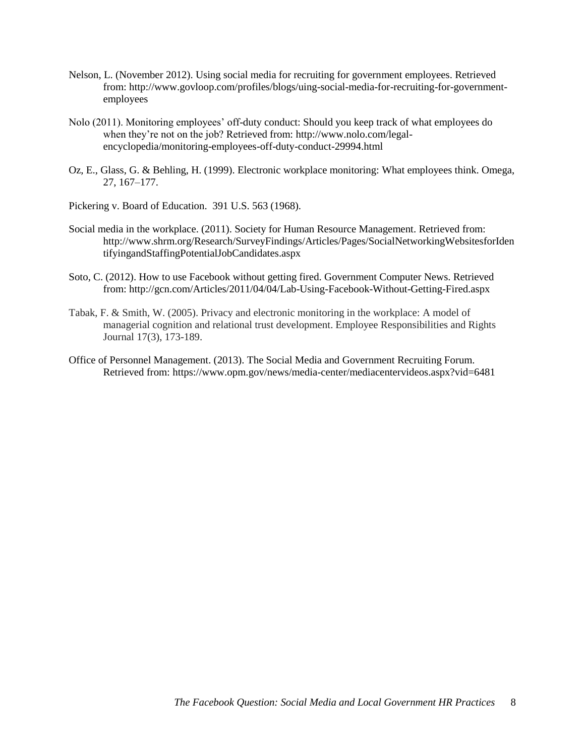- Nelson, L. (November 2012). Using social media for recruiting for government employees. Retrieved from: http://www.govloop.com/profiles/blogs/uing-social-media-for-recruiting-for-governmentemployees
- Nolo (2011). Monitoring employees' off-duty conduct: Should you keep track of what employees do when they're not on the job? Retrieved from: http://www.nolo.com/legalencyclopedia/monitoring-employees-off-duty-conduct-29994.html
- Oz, E., Glass, G. & Behling, H. (1999). Electronic workplace monitoring: What employees think. Omega, 27, 167–177.
- Pickering v. Board of Education. 391 U.S. 563 (1968).
- Social media in the workplace. (2011). Society for Human Resource Management. Retrieved from: http://www.shrm.org/Research/SurveyFindings/Articles/Pages/SocialNetworkingWebsitesforIden tifyingandStaffingPotentialJobCandidates.aspx
- Soto, C. (2012). How to use Facebook without getting fired. Government Computer News. Retrieved from: http://gcn.com/Articles/2011/04/04/Lab-Using-Facebook-Without-Getting-Fired.aspx
- Tabak, F. & Smith, W. (2005). Privacy and electronic monitoring in the workplace: A model of managerial cognition and relational trust development. Employee Responsibilities and Rights Journal 17(3), 173-189.
- Office of Personnel Management. (2013). The Social Media and Government Recruiting Forum. Retrieved from: https://www.opm.gov/news/media-center/mediacentervideos.aspx?vid=6481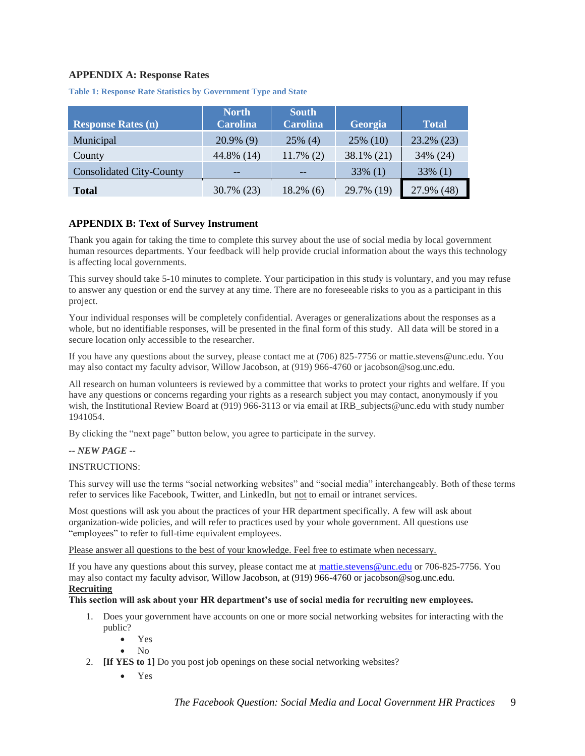### **APPENDIX A: Response Rates**

| <b>Response Rates (n)</b>       | <b>North</b><br><b>Carolina</b> | <b>South</b><br><b>Carolina</b> | Georgia    | <b>Total</b> |
|---------------------------------|---------------------------------|---------------------------------|------------|--------------|
| Municipal                       | $20.9\%$ (9)                    | $25\%$ (4)                      | 25% (10)   | 23.2% (23)   |
| County                          | 44.8% (14)                      | $11.7\%$ (2)                    | 38.1% (21) | 34% (24)     |
| <b>Consolidated City-County</b> | --                              | --                              | $33\%$ (1) | $33\%$ (1)   |
| <b>Total</b>                    | 30.7% (23)                      | $18.2\%$ (6)                    | 29.7% (19) | 27.9% (48)   |

**Table 1: Response Rate Statistics by Government Type and State**

### **APPENDIX B: Text of Survey Instrument**

Thank you again for taking the time to complete this survey about the use of social media by local government human resources departments. Your feedback will help provide crucial information about the ways this technology is affecting local governments.

This survey should take 5-10 minutes to complete. Your participation in this study is voluntary, and you may refuse to answer any question or end the survey at any time. There are no foreseeable risks to you as a participant in this project.

Your individual responses will be completely confidential. Averages or generalizations about the responses as a whole, but no identifiable responses, will be presented in the final form of this study. All data will be stored in a secure location only accessible to the researcher.

If you have any questions about the survey, please contact me at (706) 825-7756 or mattie.stevens@unc.edu. You may also contact my faculty advisor, Willow Jacobson, at (919) 966-4760 or jacobson@sog.unc.edu.

All research on human volunteers is reviewed by a committee that works to protect your rights and welfare. If you have any questions or concerns regarding your rights as a research subject you may contact, anonymously if you wish, the Institutional Review Board at (919) 966-3113 or via email at IRB subjects@unc.edu with study number 1941054.

By clicking the "next page" button below, you agree to participate in the survey.

#### *-- NEW PAGE --*

#### INSTRUCTIONS:

This survey will use the terms "social networking websites" and "social media" interchangeably. Both of these terms refer to services like Facebook, Twitter, and LinkedIn, but not to email or intranet services.

Most questions will ask you about the practices of your HR department specifically. A few will ask about organization-wide policies, and will refer to practices used by your whole government. All questions use "employees" to refer to full-time equivalent employees.

Please answer all questions to the best of your knowledge. Feel free to estimate when necessary.

If you have any questions about this survey, please contact me at [mattie.stevens@unc.edu](mailto:mattie.stevens@unc.edu) or 706-825-7756. You may also contact my faculty advisor, Willow Jacobson, at (919) 966-4760 or jacobson@sog.unc.edu.

## **Recruiting**

#### **This section will ask about your HR department's use of social media for recruiting new employees.**

- 1. Does your government have accounts on one or more social networking websites for interacting with the public?
	- Yes
	- $\bullet$  No
- 2. **[If YES to 1]** Do you post job openings on these social networking websites?
	- Yes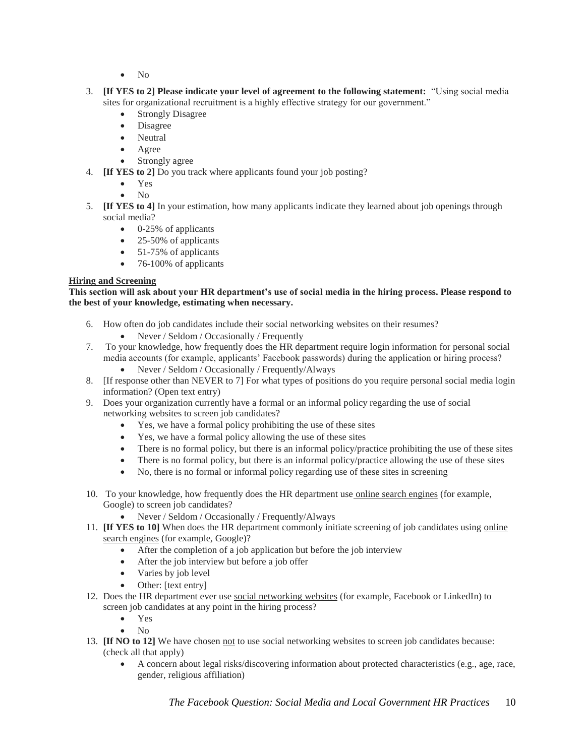- No
- 3. **[If YES to 2] Please indicate your level of agreement to the following statement:** "Using social media sites for organizational recruitment is a highly effective strategy for our government."
	- Strongly Disagree
	- Disagree
	- Neutral
	- Agree
	- Strongly agree
- 4. **[If YES to 2]** Do you track where applicants found your job posting?
	- Yes
	- $\bullet$  No
- 5. **[If YES to 4]** In your estimation, how many applicants indicate they learned about job openings through social media?
	- $\bullet$  0-25% of applicants
	- 25-50% of applicants
	- 51-75% of applicants
	- $\bullet$  76-100% of applicants

## **Hiring and Screening**

**This section will ask about your HR department's use of social media in the hiring process. Please respond to the best of your knowledge, estimating when necessary.** 

- 6. How often do job candidates include their social networking websites on their resumes?
	- Never / Seldom / Occasionally / Frequently
- 7. To your knowledge, how frequently does the HR department require login information for personal social media accounts (for example, applicants' Facebook passwords) during the application or hiring process?
	- Never / Seldom / Occasionally / Frequently/Always
- 8. [If response other than NEVER to 7] For what types of positions do you require personal social media login information? (Open text entry)
- 9. Does your organization currently have a formal or an informal policy regarding the use of social networking websites to screen job candidates?
	- Yes, we have a formal policy prohibiting the use of these sites
	- Yes, we have a formal policy allowing the use of these sites
	- There is no formal policy, but there is an informal policy/practice prohibiting the use of these sites
	- There is no formal policy, but there is an informal policy/practice allowing the use of these sites
	- No, there is no formal or informal policy regarding use of these sites in screening
- 10. To your knowledge, how frequently does the HR department use online search engines (for example, Google) to screen job candidates?
	- Never / Seldom / Occasionally / Frequently/Always
- 11. **[If YES to 10]** When does the HR department commonly initiate screening of job candidates using online search engines (for example, Google)?
	- After the completion of a job application but before the job interview
	- After the job interview but before a job offer
	- Varies by job level
	- Other: [text entry]
- 12. Does the HR department ever use social networking websites (for example, Facebook or LinkedIn) to screen job candidates at any point in the hiring process?
	- Yes
	- $\bullet$  No
- 13. **If NO to 12]** We have chosen not to use social networking websites to screen job candidates because: (check all that apply)
	- A concern about legal risks/discovering information about protected characteristics (e.g., age, race, gender, religious affiliation)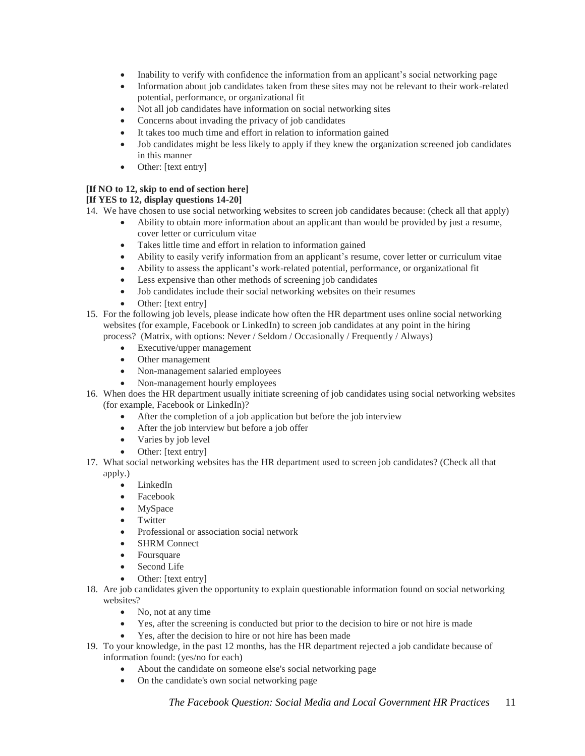- Inability to verify with confidence the information from an applicant's social networking page
- Information about job candidates taken from these sites may not be relevant to their work-related potential, performance, or organizational fit
- Not all job candidates have information on social networking sites
- Concerns about invading the privacy of job candidates
- It takes too much time and effort in relation to information gained
- Job candidates might be less likely to apply if they knew the organization screened job candidates in this manner
- Other: [text entry]

### **[If NO to 12, skip to end of section here]**

### **[If YES to 12, display questions 14-20]**

- 14. We have chosen to use social networking websites to screen job candidates because: (check all that apply)
	- Ability to obtain more information about an applicant than would be provided by just a resume, cover letter or curriculum vitae
	- Takes little time and effort in relation to information gained
	- Ability to easily verify information from an applicant's resume, cover letter or curriculum vitae
	- Ability to assess the applicant's work-related potential, performance, or organizational fit
	- Less expensive than other methods of screening job candidates
	- Job candidates include their social networking websites on their resumes
	- Other: [text entry]
- 15. For the following job levels, please indicate how often the HR department uses online social networking websites (for example, Facebook or LinkedIn) to screen job candidates at any point in the hiring process? (Matrix, with options: Never / Seldom / Occasionally / Frequently / Always)
	- Executive/upper management
	- Other management
	- Non-management salaried employees
	- Non-management hourly employees
- 16. When does the HR department usually initiate screening of job candidates using social networking websites (for example, Facebook or LinkedIn)?
	- After the completion of a job application but before the job interview
	- After the job interview but before a job offer
	- Varies by job level
	- Other: [text entry]
- 17. What social networking websites has the HR department used to screen job candidates? (Check all that apply.)
	- LinkedIn
	- Facebook
	- MySpace
	- Twitter
	- Professional or association social network
	- SHRM Connect
	- Foursquare
	- Second Life
	- Other: [text entry]
- 18. Are job candidates given the opportunity to explain questionable information found on social networking websites?
	- No, not at any time
	- Yes, after the screening is conducted but prior to the decision to hire or not hire is made
	- Yes, after the decision to hire or not hire has been made
- 19. To your knowledge, in the past 12 months, has the HR department rejected a job candidate because of information found: (yes/no for each)
	- About the candidate on someone else's social networking page
	- On the candidate's own social networking page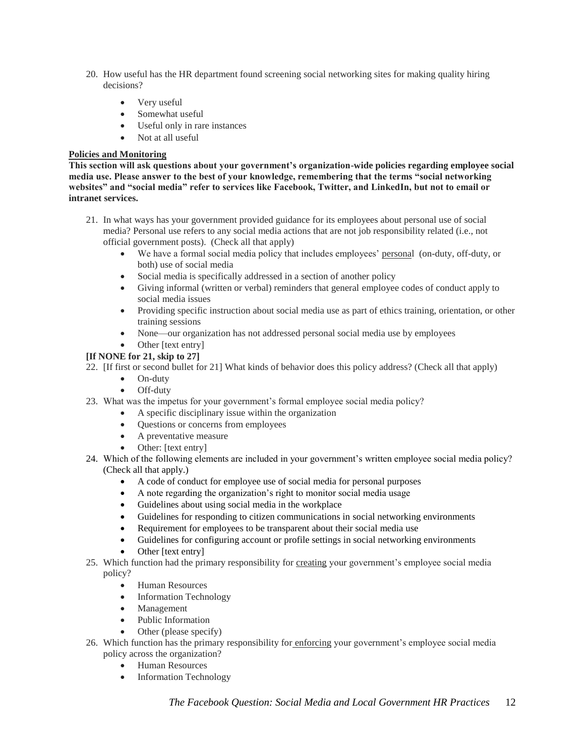- 20. How useful has the HR department found screening social networking sites for making quality hiring decisions?
	- Very useful
	- Somewhat useful
	- Useful only in rare instances
	- Not at all useful

## **Policies and Monitoring**

**This section will ask questions about your government's organization-wide policies regarding employee social media use. Please answer to the best of your knowledge, remembering that the terms "social networking websites" and "social media" refer to services like Facebook, Twitter, and LinkedIn, but not to email or intranet services.** 

- 21. In what ways has your government provided guidance for its employees about personal use of social media? Personal use refers to any social media actions that are not job responsibility related (i.e., not official government posts). (Check all that apply)
	- We have a formal social media policy that includes employees' personal (on-duty, off-duty, or both) use of social media
	- Social media is specifically addressed in a section of another policy
	- Giving informal (written or verbal) reminders that general employee codes of conduct apply to social media issues
	- Providing specific instruction about social media use as part of ethics training, orientation, or other training sessions
	- None—our organization has not addressed personal social media use by employees
	- Other [text entry]

## **[If NONE for 21, skip to 27]**

22. [If first or second bullet for 21] What kinds of behavior does this policy address? (Check all that apply)

- On-duty
- Off-duty
- 23. What was the impetus for your government's formal employee social media policy?
	- A specific disciplinary issue within the organization
	- Questions or concerns from employees
	- A preventative measure
	- Other: [text entry]
- 24. Which of the following elements are included in your government's written employee social media policy? (Check all that apply.)
	- A code of conduct for employee use of social media for personal purposes
	- A note regarding the organization's right to monitor social media usage
	- Guidelines about using social media in the workplace
	- Guidelines for responding to citizen communications in social networking environments
	- Requirement for employees to be transparent about their social media use
	- Guidelines for configuring account or profile settings in social networking environments
	- Other [text entry]
- 25. Which function had the primary responsibility for creating your government's employee social media policy?
	- Human Resources
	- Information Technology
	- Management
	- Public Information
	- Other (please specify)
- 26. Which function has the primary responsibility for enforcing your government's employee social media policy across the organization?
	- Human Resources
	- Information Technology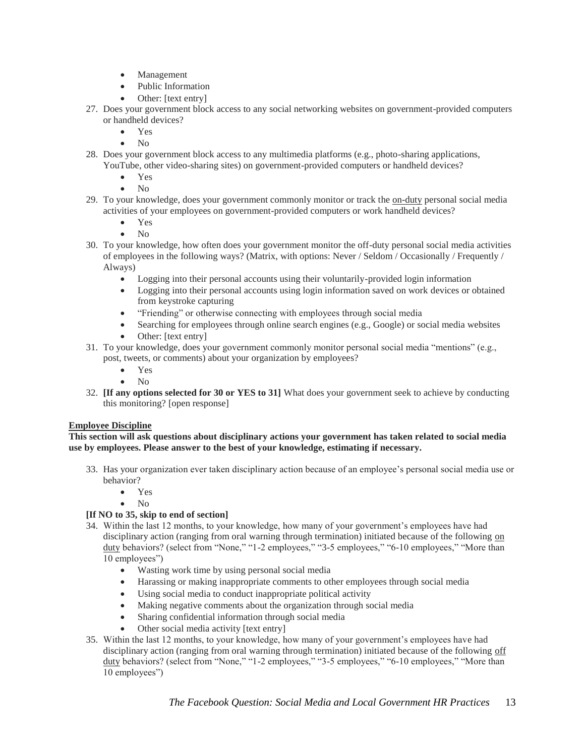- Management
- Public Information
- Other: [text entry]
- 27. Does your government block access to any social networking websites on government-provided computers or handheld devices?
	- Yes
	- No
- 28. Does your government block access to any multimedia platforms (e.g., photo-sharing applications, YouTube, other video-sharing sites) on government-provided computers or handheld devices?
	- Yes
	- No
- 29. To your knowledge, does your government commonly monitor or track the on-duty personal social media activities of your employees on government-provided computers or work handheld devices?
	- Yes
	- No
- 30. To your knowledge, how often does your government monitor the off-duty personal social media activities of employees in the following ways? (Matrix, with options: Never / Seldom / Occasionally / Frequently / Always)
	- Logging into their personal accounts using their voluntarily-provided login information
	- Logging into their personal accounts using login information saved on work devices or obtained from keystroke capturing
	- "Friending" or otherwise connecting with employees through social media
	- Searching for employees through online search engines (e.g., Google) or social media websites
	- Other: [text entry]
- 31. To your knowledge, does your government commonly monitor personal social media "mentions" (e.g., post, tweets, or comments) about your organization by employees?
	- Yes
	- No
- 32. **[If any options selected for 30 or YES to 31]** What does your government seek to achieve by conducting this monitoring? [open response]

## **Employee Discipline**

#### **This section will ask questions about disciplinary actions your government has taken related to social media use by employees. Please answer to the best of your knowledge, estimating if necessary.**

- 33. Has your organization ever taken disciplinary action because of an employee's personal social media use or behavior?
	- Yes
	- No

## **[If NO to 35, skip to end of section]**

- 34. Within the last 12 months, to your knowledge, how many of your government's employees have had disciplinary action (ranging from oral warning through termination) initiated because of the following on duty behaviors? (select from "None," "1-2 employees," "3-5 employees," "6-10 employees," "More than 10 employees")
	- Wasting work time by using personal social media
	- Harassing or making inappropriate comments to other employees through social media
	- Using social media to conduct inappropriate political activity
	- Making negative comments about the organization through social media
	- Sharing confidential information through social media
	- Other social media activity [text entry]
- 35. Within the last 12 months, to your knowledge, how many of your government's employees have had disciplinary action (ranging from oral warning through termination) initiated because of the following off duty behaviors? (select from "None," "1-2 employees," "3-5 employees," "6-10 employees," "More than 10 employees")